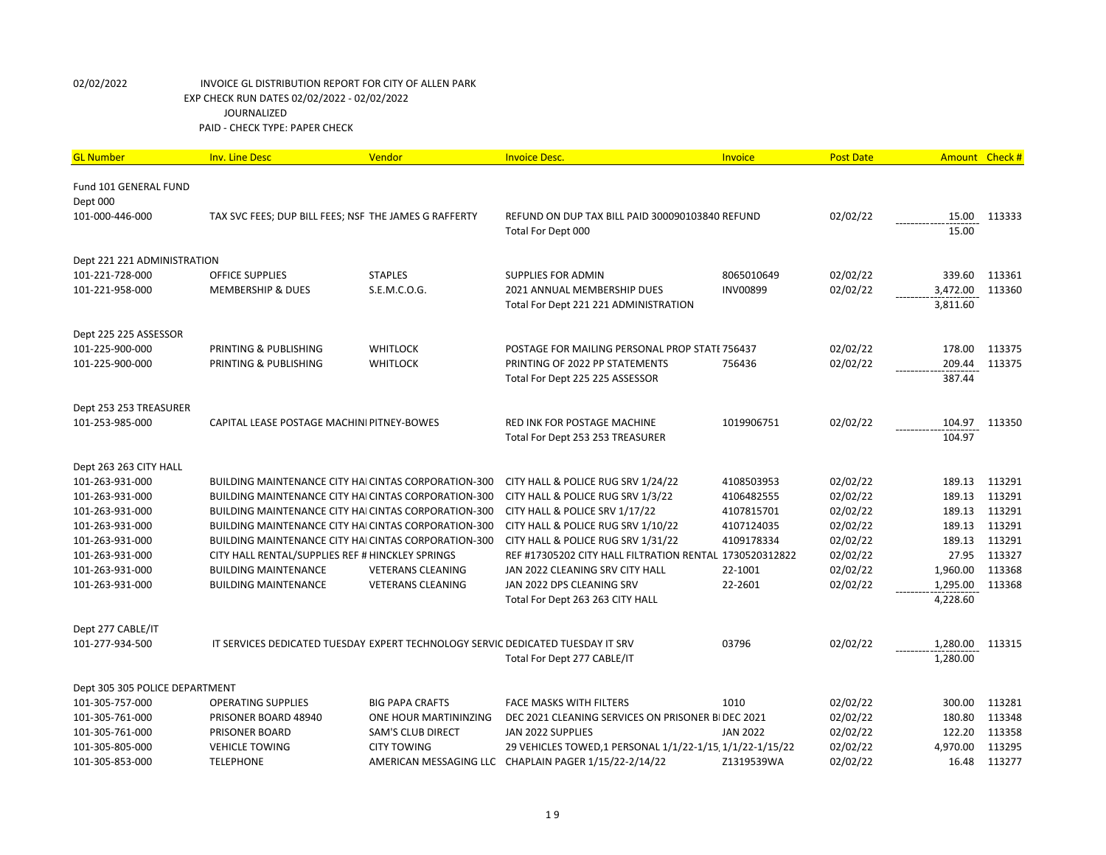| <b>GL Number</b>               | <b>Inv. Line Desc</b>                                                           | Vendor                   | <b>Invoice Desc.</b>                                     | Invoice         | <b>Post Date</b> | Amount Check # |              |
|--------------------------------|---------------------------------------------------------------------------------|--------------------------|----------------------------------------------------------|-----------------|------------------|----------------|--------------|
| Fund 101 GENERAL FUND          |                                                                                 |                          |                                                          |                 |                  |                |              |
| Dept 000                       |                                                                                 |                          |                                                          |                 |                  |                |              |
| 101-000-446-000                | TAX SVC FEES; DUP BILL FEES; NSF THE JAMES G RAFFERTY                           |                          | REFUND ON DUP TAX BILL PAID 300090103840 REFUND          |                 | 02/02/22         |                | 15.00 113333 |
|                                |                                                                                 |                          | Total For Dept 000                                       |                 |                  | 15.00          |              |
| Dept 221 221 ADMINISTRATION    |                                                                                 |                          |                                                          |                 |                  |                |              |
| 101-221-728-000                | <b>OFFICE SUPPLIES</b>                                                          | <b>STAPLES</b>           | <b>SUPPLIES FOR ADMIN</b>                                | 8065010649      | 02/02/22         | 339.60         | 113361       |
| 101-221-958-000                | <b>MEMBERSHIP &amp; DUES</b>                                                    | S.E.M.C.O.G.             | 2021 ANNUAL MEMBERSHIP DUES                              | <b>INV00899</b> | 02/02/22         | 3,472.00       | 113360       |
|                                |                                                                                 |                          | Total For Dept 221 221 ADMINISTRATION                    |                 |                  | 3,811.60       |              |
| Dept 225 225 ASSESSOR          |                                                                                 |                          |                                                          |                 |                  |                |              |
| 101-225-900-000                | PRINTING & PUBLISHING                                                           | <b>WHITLOCK</b>          | POSTAGE FOR MAILING PERSONAL PROP STATE 756437           |                 | 02/02/22         | 178.00         | 113375       |
| 101-225-900-000                | PRINTING & PUBLISHING                                                           | <b>WHITLOCK</b>          | PRINTING OF 2022 PP STATEMENTS                           | 756436          | 02/02/22         | 209.44         | 113375       |
|                                |                                                                                 |                          | Total For Dept 225 225 ASSESSOR                          |                 |                  | 387.44         |              |
| Dept 253 253 TREASURER         |                                                                                 |                          |                                                          |                 |                  |                |              |
| 101-253-985-000                | CAPITAL LEASE POSTAGE MACHINI PITNEY-BOWES                                      |                          | RED INK FOR POSTAGE MACHINE                              | 1019906751      | 02/02/22         | 104.97         | 113350       |
|                                |                                                                                 |                          | Total For Dept 253 253 TREASURER                         |                 |                  | 104.97         |              |
| Dept 263 263 CITY HALL         |                                                                                 |                          |                                                          |                 |                  |                |              |
| 101-263-931-000                | <b>BUILDING MAINTENANCE CITY HAICINTAS CORPORATION-300</b>                      |                          | CITY HALL & POLICE RUG SRV 1/24/22                       | 4108503953      | 02/02/22         | 189.13         | 113291       |
| 101-263-931-000                | BUILDING MAINTENANCE CITY HAI CINTAS CORPORATION-300                            |                          | CITY HALL & POLICE RUG SRV 1/3/22                        | 4106482555      | 02/02/22         | 189.13         | 113291       |
| 101-263-931-000                | <b>BUILDING MAINTENANCE CITY HAI CINTAS CORPORATION-300</b>                     |                          | CITY HALL & POLICE SRV 1/17/22                           | 4107815701      | 02/02/22         | 189.13         | 113291       |
| 101-263-931-000                | BUILDING MAINTENANCE CITY HAI CINTAS CORPORATION-300                            |                          | CITY HALL & POLICE RUG SRV 1/10/22                       | 4107124035      | 02/02/22         | 189.13         | 113291       |
| 101-263-931-000                | <b>BUILDING MAINTENANCE CITY HAI CINTAS CORPORATION-300</b>                     |                          | CITY HALL & POLICE RUG SRV 1/31/22                       | 4109178334      | 02/02/22         | 189.13         | 113291       |
| 101-263-931-000                | CITY HALL RENTAL/SUPPLIES REF # HINCKLEY SPRINGS                                |                          | REF #17305202 CITY HALL FILTRATION RENTAL 1730520312822  |                 | 02/02/22         | 27.95          | 113327       |
| 101-263-931-000                | <b>BUILDING MAINTENANCE</b>                                                     | <b>VETERANS CLEANING</b> | JAN 2022 CLEANING SRV CITY HALL                          | 22-1001         | 02/02/22         | 1,960.00       | 113368       |
| 101-263-931-000                | <b>BUILDING MAINTENANCE</b>                                                     | <b>VETERANS CLEANING</b> | JAN 2022 DPS CLEANING SRV                                | 22-2601         | 02/02/22         | 1,295.00       | 113368       |
|                                |                                                                                 |                          | Total For Dept 263 263 CITY HALL                         |                 |                  | 4,228.60       |              |
| Dept 277 CABLE/IT              |                                                                                 |                          |                                                          |                 |                  |                |              |
| 101-277-934-500                | IT SERVICES DEDICATED TUESDAY EXPERT TECHNOLOGY SERVIC DEDICATED TUESDAY IT SRV |                          |                                                          | 03796           | 02/02/22         | 1,280.00       | 113315       |
|                                |                                                                                 |                          | Total For Dept 277 CABLE/IT                              |                 |                  | 1,280.00       |              |
| Dept 305 305 POLICE DEPARTMENT |                                                                                 |                          |                                                          |                 |                  |                |              |
| 101-305-757-000                | <b>OPERATING SUPPLIES</b>                                                       | <b>BIG PAPA CRAFTS</b>   | FACE MASKS WITH FILTERS                                  | 1010            | 02/02/22         | 300.00         | 113281       |
| 101-305-761-000                | PRISONER BOARD 48940                                                            | ONE HOUR MARTININZING    | DEC 2021 CLEANING SERVICES ON PRISONER BIDEC 2021        |                 | 02/02/22         | 180.80         | 113348       |
| 101-305-761-000                | PRISONER BOARD                                                                  | <b>SAM'S CLUB DIRECT</b> | JAN 2022 SUPPLIES                                        | <b>JAN 2022</b> | 02/02/22         | 122.20         | 113358       |
| 101-305-805-000                | <b>VEHICLE TOWING</b>                                                           | <b>CITY TOWING</b>       | 29 VEHICLES TOWED,1 PERSONAL 1/1/22-1/15, 1/1/22-1/15/22 |                 | 02/02/22         | 4,970.00       | 113295       |
| 101-305-853-000                | <b>TELEPHONE</b>                                                                |                          | AMERICAN MESSAGING LLC CHAPLAIN PAGER 1/15/22-2/14/22    | Z1319539WA      | 02/02/22         | 16.48          | 113277       |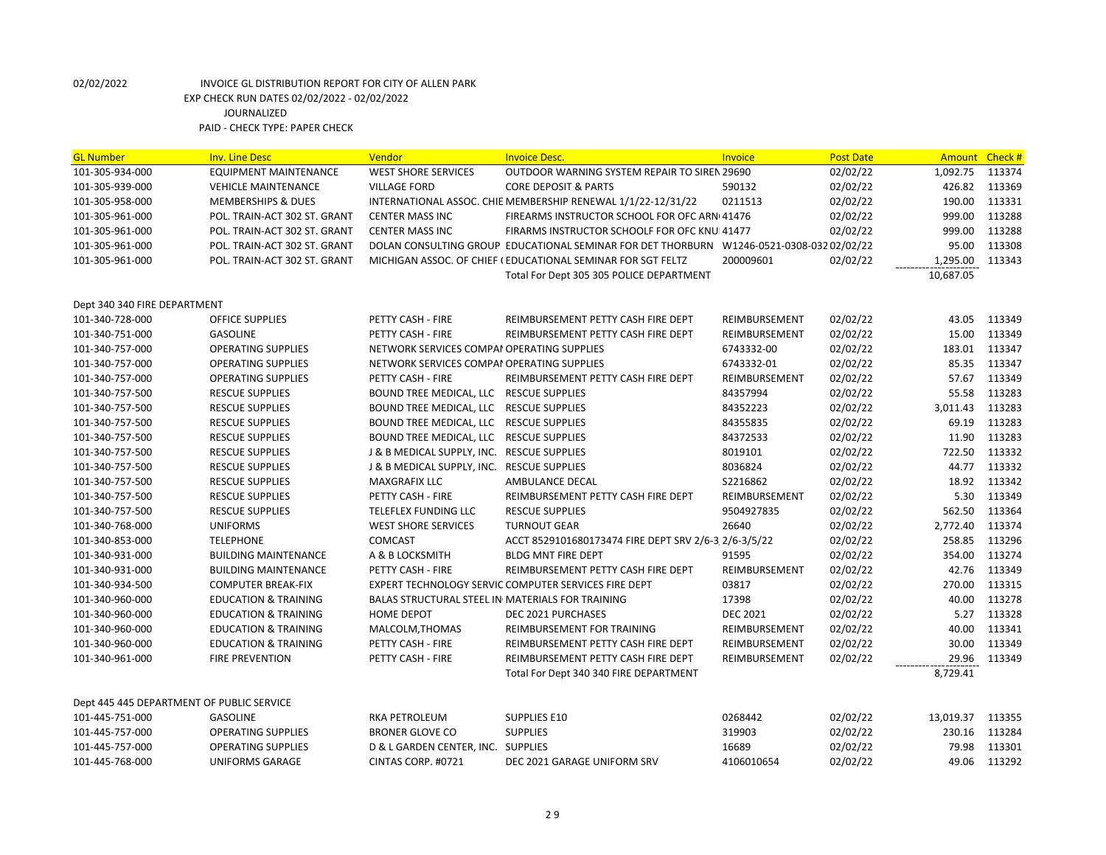| <b>GL Number</b>                          | <b>Inv. Line Desc</b>           | Vendor                                           | <b>Invoice Desc.</b>                                                                     | Invoice         | <b>Post Date</b> | Amount Check # |        |
|-------------------------------------------|---------------------------------|--------------------------------------------------|------------------------------------------------------------------------------------------|-----------------|------------------|----------------|--------|
| 101-305-934-000                           | <b>EQUIPMENT MAINTENANCE</b>    | <b>WEST SHORE SERVICES</b>                       | OUTDOOR WARNING SYSTEM REPAIR TO SIREN 29690                                             |                 | 02/02/22         | 1,092.75       | 113374 |
| 101-305-939-000                           | <b>VEHICLE MAINTENANCE</b>      | <b>VILLAGE FORD</b>                              | <b>CORE DEPOSIT &amp; PARTS</b>                                                          | 590132          | 02/02/22         | 426.82         | 113369 |
| 101-305-958-000                           | <b>MEMBERSHIPS &amp; DUES</b>   |                                                  | INTERNATIONAL ASSOC. CHIE MEMBERSHIP RENEWAL 1/1/22-12/31/22                             | 0211513         | 02/02/22         | 190.00         | 113331 |
| 101-305-961-000                           | POL. TRAIN-ACT 302 ST. GRANT    | <b>CENTER MASS INC</b>                           | FIREARMS INSTRUCTOR SCHOOL FOR OFC ARNI41476                                             |                 | 02/02/22         | 999.00         | 113288 |
| 101-305-961-000                           | POL. TRAIN-ACT 302 ST. GRANT    | <b>CENTER MASS INC</b>                           | FIRARMS INSTRUCTOR SCHOOLF FOR OFC KNUI41477                                             |                 | 02/02/22         | 999.00         | 113288 |
| 101-305-961-000                           | POL. TRAIN-ACT 302 ST. GRANT    |                                                  | DOLAN CONSULTING GROUP EDUCATIONAL SEMINAR FOR DET THORBURN W1246-0521-0308-032 02/02/22 |                 |                  | 95.00          | 113308 |
| 101-305-961-000                           | POL. TRAIN-ACT 302 ST. GRANT    |                                                  | MICHIGAN ASSOC. OF CHIEF (EDUCATIONAL SEMINAR FOR SGT FELTZ                              | 200009601       | 02/02/22         | 1,295.00       | 113343 |
|                                           |                                 |                                                  | Total For Dept 305 305 POLICE DEPARTMENT                                                 |                 |                  | 10,687.05      |        |
|                                           |                                 |                                                  |                                                                                          |                 |                  |                |        |
| Dept 340 340 FIRE DEPARTMENT              |                                 |                                                  |                                                                                          |                 |                  |                |        |
| 101-340-728-000                           | <b>OFFICE SUPPLIES</b>          | PETTY CASH - FIRE                                | REIMBURSEMENT PETTY CASH FIRE DEPT                                                       | REIMBURSEMENT   | 02/02/22         | 43.05          | 113349 |
| 101-340-751-000                           | <b>GASOLINE</b>                 | PETTY CASH - FIRE                                | REIMBURSEMENT PETTY CASH FIRE DEPT                                                       | REIMBURSEMENT   | 02/02/22         | 15.00          | 113349 |
| 101-340-757-000                           | <b>OPERATING SUPPLIES</b>       | NETWORK SERVICES COMPAI OPERATING SUPPLIES       |                                                                                          | 6743332-00      | 02/02/22         | 183.01         | 113347 |
| 101-340-757-000                           | <b>OPERATING SUPPLIES</b>       | NETWORK SERVICES COMPAI OPERATING SUPPLIES       |                                                                                          | 6743332-01      | 02/02/22         | 85.35          | 113347 |
| 101-340-757-000                           | <b>OPERATING SUPPLIES</b>       | PETTY CASH - FIRE                                | REIMBURSEMENT PETTY CASH FIRE DEPT                                                       | REIMBURSEMENT   | 02/02/22         | 57.67          | 113349 |
| 101-340-757-500                           | <b>RESCUE SUPPLIES</b>          | BOUND TREE MEDICAL, LLC RESCUE SUPPLIES          |                                                                                          | 84357994        | 02/02/22         | 55.58          | 113283 |
| 101-340-757-500                           | <b>RESCUE SUPPLIES</b>          | BOUND TREE MEDICAL, LLC RESCUE SUPPLIES          |                                                                                          | 84352223        | 02/02/22         | 3,011.43       | 113283 |
| 101-340-757-500                           | <b>RESCUE SUPPLIES</b>          | BOUND TREE MEDICAL, LLC RESCUE SUPPLIES          |                                                                                          | 84355835        | 02/02/22         | 69.19          | 113283 |
| 101-340-757-500                           | <b>RESCUE SUPPLIES</b>          | BOUND TREE MEDICAL, LLC RESCUE SUPPLIES          |                                                                                          | 84372533        | 02/02/22         | 11.90          | 113283 |
| 101-340-757-500                           | <b>RESCUE SUPPLIES</b>          | J & B MEDICAL SUPPLY, INC. RESCUE SUPPLIES       |                                                                                          | 8019101         | 02/02/22         | 722.50         | 113332 |
| 101-340-757-500                           | <b>RESCUE SUPPLIES</b>          | J & B MEDICAL SUPPLY, INC. RESCUE SUPPLIES       |                                                                                          | 8036824         | 02/02/22         | 44.77          | 113332 |
| 101-340-757-500                           | <b>RESCUE SUPPLIES</b>          | <b>MAXGRAFIX LLC</b>                             | AMBULANCE DECAL                                                                          | S2216862        | 02/02/22         | 18.92          | 113342 |
| 101-340-757-500                           | <b>RESCUE SUPPLIES</b>          | PETTY CASH - FIRE                                | REIMBURSEMENT PETTY CASH FIRE DEPT                                                       | REIMBURSEMENT   | 02/02/22         | 5.30           | 113349 |
| 101-340-757-500                           | <b>RESCUE SUPPLIES</b>          | TELEFLEX FUNDING LLC                             | <b>RESCUE SUPPLIES</b>                                                                   | 9504927835      | 02/02/22         | 562.50         | 113364 |
| 101-340-768-000                           | <b>UNIFORMS</b>                 | <b>WEST SHORE SERVICES</b>                       | <b>TURNOUT GEAR</b>                                                                      | 26640           | 02/02/22         | 2,772.40       | 113374 |
| 101-340-853-000                           | <b>TELEPHONE</b>                | COMCAST                                          | ACCT 8529101680173474 FIRE DEPT SRV 2/6-3 2/6-3/5/22                                     |                 | 02/02/22         | 258.85         | 113296 |
| 101-340-931-000                           | <b>BUILDING MAINTENANCE</b>     | A & B LOCKSMITH                                  | <b>BLDG MNT FIRE DEPT</b>                                                                | 91595           | 02/02/22         | 354.00         | 113274 |
| 101-340-931-000                           | <b>BUILDING MAINTENANCE</b>     | PETTY CASH - FIRE                                | REIMBURSEMENT PETTY CASH FIRE DEPT                                                       | REIMBURSEMENT   | 02/02/22         | 42.76          | 113349 |
| 101-340-934-500                           | <b>COMPUTER BREAK-FIX</b>       |                                                  | EXPERT TECHNOLOGY SERVIC COMPUTER SERVICES FIRE DEPT                                     | 03817           | 02/02/22         | 270.00         | 113315 |
| 101-340-960-000                           | <b>EDUCATION &amp; TRAINING</b> | BALAS STRUCTURAL STEEL IN MATERIALS FOR TRAINING |                                                                                          | 17398           | 02/02/22         | 40.00          | 113278 |
| 101-340-960-000                           | <b>EDUCATION &amp; TRAINING</b> | <b>HOME DEPOT</b>                                | DEC 2021 PURCHASES                                                                       | <b>DEC 2021</b> | 02/02/22         | 5.27           | 113328 |
| 101-340-960-000                           | <b>EDUCATION &amp; TRAINING</b> | MALCOLM, THOMAS                                  | REIMBURSEMENT FOR TRAINING                                                               | REIMBURSEMENT   | 02/02/22         | 40.00          | 113341 |
| 101-340-960-000                           | <b>EDUCATION &amp; TRAINING</b> | PETTY CASH - FIRE                                | REIMBURSEMENT PETTY CASH FIRE DEPT                                                       | REIMBURSEMENT   | 02/02/22         | 30.00          | 113349 |
| 101-340-961-000                           | <b>FIRE PREVENTION</b>          | PETTY CASH - FIRE                                | REIMBURSEMENT PETTY CASH FIRE DEPT                                                       | REIMBURSEMENT   | 02/02/22         | 29.96          | 113349 |
|                                           |                                 |                                                  | Total For Dept 340 340 FIRE DEPARTMENT                                                   |                 |                  | 8,729.41       |        |
|                                           |                                 |                                                  |                                                                                          |                 |                  |                |        |
| Dept 445 445 DEPARTMENT OF PUBLIC SERVICE |                                 |                                                  |                                                                                          |                 |                  |                |        |
| 101-445-751-000                           | <b>GASOLINE</b>                 | RKA PETROLEUM                                    | <b>SUPPLIES E10</b>                                                                      | 0268442         | 02/02/22         | 13,019.37      | 113355 |
| 101-445-757-000                           | <b>OPERATING SUPPLIES</b>       | <b>BRONER GLOVE CO</b>                           | <b>SUPPLIES</b>                                                                          | 319903          | 02/02/22         | 230.16         | 113284 |
| 101-445-757-000                           | <b>OPERATING SUPPLIES</b>       | D & L GARDEN CENTER, INC. SUPPLIES               |                                                                                          | 16689           | 02/02/22         | 79.98          | 113301 |
| 101-445-768-000                           | UNIFORMS GARAGE                 | CINTAS CORP. #0721                               | DEC 2021 GARAGE UNIFORM SRV                                                              | 4106010654      | 02/02/22         | 49.06          | 113292 |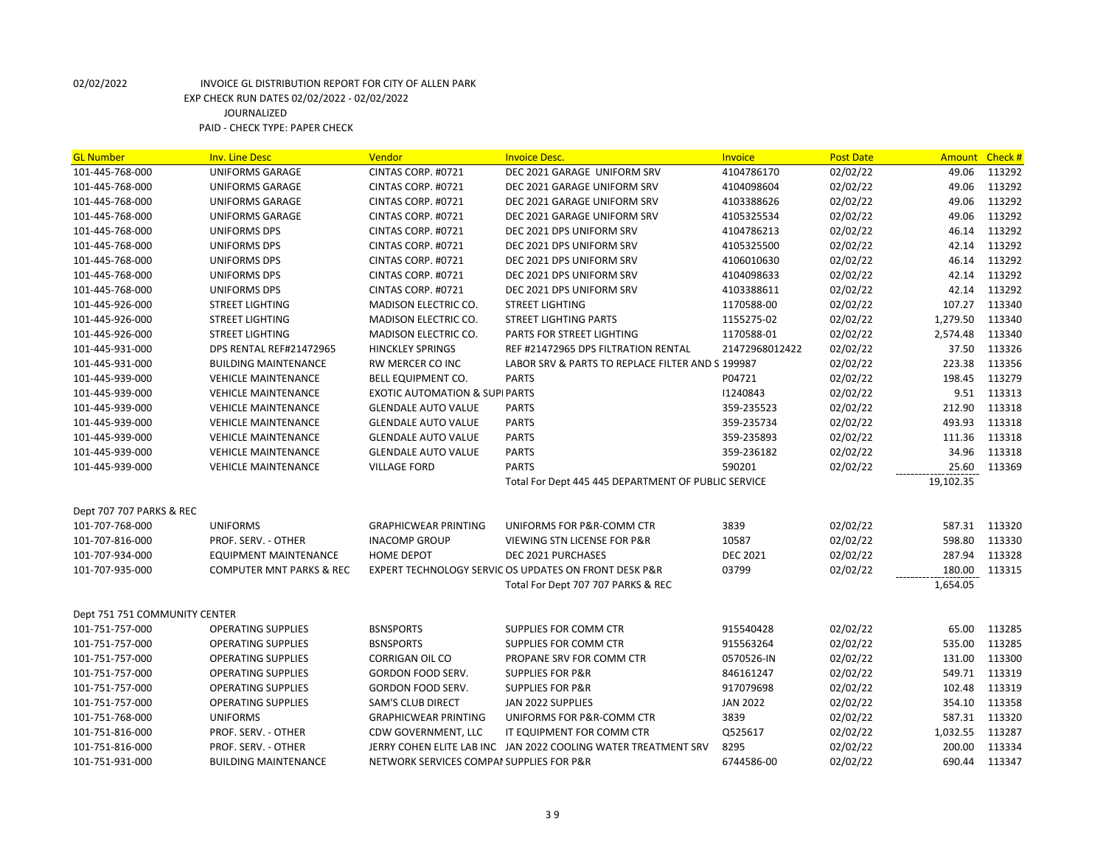| <b>GL Number</b>              | <b>Inv. Line Desc</b>               | Vendor                                    | <b>Invoice Desc.</b>                                           | Invoice         | <b>Post Date</b> | <b>Amount</b> | Check# |
|-------------------------------|-------------------------------------|-------------------------------------------|----------------------------------------------------------------|-----------------|------------------|---------------|--------|
| 101-445-768-000               | <b>UNIFORMS GARAGE</b>              | CINTAS CORP. #0721                        | DEC 2021 GARAGE UNIFORM SRV                                    | 4104786170      | 02/02/22         | 49.06         | 113292 |
| 101-445-768-000               | <b>UNIFORMS GARAGE</b>              | CINTAS CORP. #0721                        | DEC 2021 GARAGE UNIFORM SRV                                    | 4104098604      | 02/02/22         | 49.06         | 113292 |
| 101-445-768-000               | <b>UNIFORMS GARAGE</b>              | CINTAS CORP. #0721                        | DEC 2021 GARAGE UNIFORM SRV                                    | 4103388626      | 02/02/22         | 49.06         | 113292 |
| 101-445-768-000               | <b>UNIFORMS GARAGE</b>              | CINTAS CORP. #0721                        | DEC 2021 GARAGE UNIFORM SRV                                    | 4105325534      | 02/02/22         | 49.06         | 113292 |
| 101-445-768-000               | UNIFORMS DPS                        | CINTAS CORP. #0721                        | DEC 2021 DPS UNIFORM SRV                                       | 4104786213      | 02/02/22         | 46.14         | 113292 |
| 101-445-768-000               | UNIFORMS DPS                        | CINTAS CORP. #0721                        | DEC 2021 DPS UNIFORM SRV                                       | 4105325500      | 02/02/22         | 42.14         | 113292 |
| 101-445-768-000               | UNIFORMS DPS                        | CINTAS CORP. #0721                        | DEC 2021 DPS UNIFORM SRV                                       | 4106010630      | 02/02/22         | 46.14         | 113292 |
| 101-445-768-000               | UNIFORMS DPS                        | CINTAS CORP. #0721                        | DEC 2021 DPS UNIFORM SRV                                       | 4104098633      | 02/02/22         | 42.14         | 113292 |
| 101-445-768-000               | UNIFORMS DPS                        | CINTAS CORP. #0721                        | DEC 2021 DPS UNIFORM SRV                                       | 4103388611      | 02/02/22         | 42.14         | 113292 |
| 101-445-926-000               | <b>STREET LIGHTING</b>              | <b>MADISON ELECTRIC CO.</b>               | <b>STREET LIGHTING</b>                                         | 1170588-00      | 02/02/22         | 107.27        | 113340 |
| 101-445-926-000               | <b>STREET LIGHTING</b>              | <b>MADISON ELECTRIC CO.</b>               | <b>STREET LIGHTING PARTS</b>                                   | 1155275-02      | 02/02/22         | 1,279.50      | 113340 |
| 101-445-926-000               | <b>STREET LIGHTING</b>              | <b>MADISON ELECTRIC CO.</b>               | PARTS FOR STREET LIGHTING                                      | 1170588-01      | 02/02/22         | 2,574.48      | 113340 |
| 101-445-931-000               | DPS RENTAL REF#21472965             | <b>HINCKLEY SPRINGS</b>                   | REF #21472965 DPS FILTRATION RENTAL                            | 21472968012422  | 02/02/22         | 37.50         | 113326 |
| 101-445-931-000               | <b>BUILDING MAINTENANCE</b>         | <b>RW MERCER CO INC</b>                   | LABOR SRV & PARTS TO REPLACE FILTER AND S 199987               |                 | 02/02/22         | 223.38        | 113356 |
| 101-445-939-000               | <b>VEHICLE MAINTENANCE</b>          | BELL EQUIPMENT CO.                        | <b>PARTS</b>                                                   | P04721          | 02/02/22         | 198.45        | 113279 |
| 101-445-939-000               | <b>VEHICLE MAINTENANCE</b>          | <b>EXOTIC AUTOMATION &amp; SUPI PARTS</b> |                                                                | 11240843        | 02/02/22         | 9.51          | 113313 |
| 101-445-939-000               | <b>VEHICLE MAINTENANCE</b>          | <b>GLENDALE AUTO VALUE</b>                | <b>PARTS</b>                                                   | 359-235523      | 02/02/22         | 212.90        | 113318 |
| 101-445-939-000               | <b>VEHICLE MAINTENANCE</b>          | <b>GLENDALE AUTO VALUE</b>                | <b>PARTS</b>                                                   | 359-235734      | 02/02/22         | 493.93        | 113318 |
| 101-445-939-000               | <b>VEHICLE MAINTENANCE</b>          | <b>GLENDALE AUTO VALUE</b>                | <b>PARTS</b>                                                   | 359-235893      | 02/02/22         | 111.36        | 113318 |
| 101-445-939-000               | <b>VEHICLE MAINTENANCE</b>          | <b>GLENDALE AUTO VALUE</b>                | <b>PARTS</b>                                                   | 359-236182      | 02/02/22         | 34.96         | 113318 |
| 101-445-939-000               | <b>VEHICLE MAINTENANCE</b>          | <b>VILLAGE FORD</b>                       | <b>PARTS</b>                                                   | 590201          | 02/02/22         | 25.60         | 113369 |
|                               |                                     |                                           | Total For Dept 445 445 DEPARTMENT OF PUBLIC SERVICE            |                 |                  | 19,102.35     |        |
|                               |                                     |                                           |                                                                |                 |                  |               |        |
|                               |                                     |                                           |                                                                |                 |                  |               |        |
| Dept 707 707 PARKS & REC      |                                     |                                           |                                                                |                 |                  |               |        |
| 101-707-768-000               | <b>UNIFORMS</b>                     | <b>GRAPHICWEAR PRINTING</b>               | UNIFORMS FOR P&R-COMM CTR                                      | 3839            | 02/02/22         | 587.31 113320 |        |
| 101-707-816-000               | PROF. SERV. - OTHER                 | <b>INACOMP GROUP</b>                      | VIEWING STN LICENSE FOR P&R                                    | 10587           | 02/02/22         | 598.80        | 113330 |
| 101-707-934-000               | EQUIPMENT MAINTENANCE               | <b>HOME DEPOT</b>                         | <b>DEC 2021 PURCHASES</b>                                      | <b>DEC 2021</b> | 02/02/22         | 287.94        | 113328 |
| 101-707-935-000               | <b>COMPUTER MNT PARKS &amp; REC</b> |                                           | EXPERT TECHNOLOGY SERVIC OS UPDATES ON FRONT DESK P&R          | 03799           | 02/02/22         | 180.00        | 113315 |
|                               |                                     |                                           | Total For Dept 707 707 PARKS & REC                             |                 |                  | 1,654.05      |        |
|                               |                                     |                                           |                                                                |                 |                  |               |        |
| Dept 751 751 COMMUNITY CENTER |                                     |                                           |                                                                |                 |                  |               |        |
| 101-751-757-000               | <b>OPERATING SUPPLIES</b>           | <b>BSNSPORTS</b>                          | SUPPLIES FOR COMM CTR                                          | 915540428       | 02/02/22         | 65.00         | 113285 |
| 101-751-757-000               | <b>OPERATING SUPPLIES</b>           | <b>BSNSPORTS</b>                          | SUPPLIES FOR COMM CTR                                          | 915563264       | 02/02/22         | 535.00        | 113285 |
| 101-751-757-000               | <b>OPERATING SUPPLIES</b>           | <b>CORRIGAN OIL CO</b>                    | PROPANE SRV FOR COMM CTR                                       | 0570526-IN      | 02/02/22         | 131.00        | 113300 |
| 101-751-757-000               | <b>OPERATING SUPPLIES</b>           | GORDON FOOD SERV.                         | <b>SUPPLIES FOR P&amp;R</b>                                    | 846161247       | 02/02/22         | 549.71        | 113319 |
| 101-751-757-000               | <b>OPERATING SUPPLIES</b>           | GORDON FOOD SERV.                         | <b>SUPPLIES FOR P&amp;R</b>                                    | 917079698       | 02/02/22         | 102.48        | 113319 |
| 101-751-757-000               | <b>OPERATING SUPPLIES</b>           | <b>SAM'S CLUB DIRECT</b>                  | JAN 2022 SUPPLIES                                              | <b>JAN 2022</b> | 02/02/22         | 354.10        | 113358 |
| 101-751-768-000               | <b>UNIFORMS</b>                     | <b>GRAPHICWEAR PRINTING</b>               | UNIFORMS FOR P&R-COMM CTR                                      | 3839            | 02/02/22         | 587.31        | 113320 |
| 101-751-816-000               | PROF. SERV. - OTHER                 | CDW GOVERNMENT, LLC                       | IT EQUIPMENT FOR COMM CTR                                      | Q525617         | 02/02/22         | 1,032.55      | 113287 |
| 101-751-816-000               | PROF. SERV. - OTHER                 |                                           | JERRY COHEN ELITE LAB INC JAN 2022 COOLING WATER TREATMENT SRV | 8295            | 02/02/22         | 200.00        | 113334 |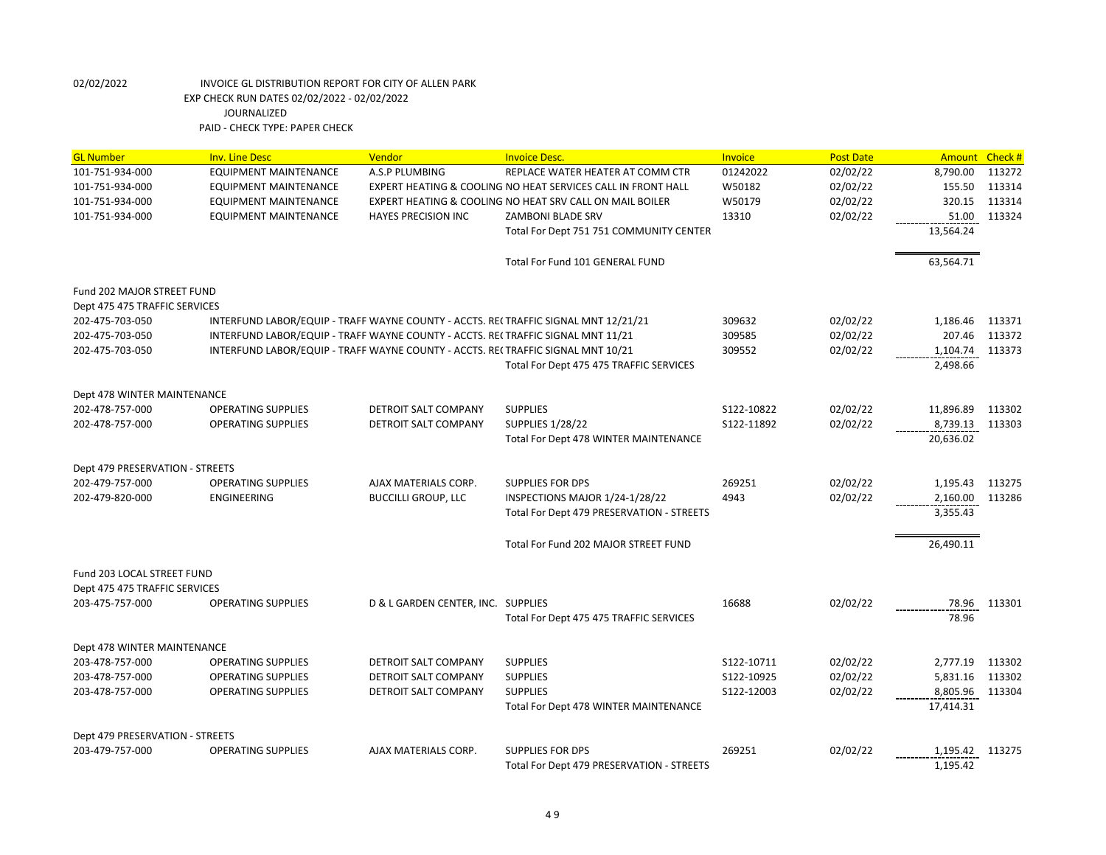| <b>GL Number</b>                | <b>Inv. Line Desc</b>        | Vendor                                                                             | <b>Invoice Desc.</b>                                         | Invoice    | <b>Post Date</b> | Amount Check #  |        |
|---------------------------------|------------------------------|------------------------------------------------------------------------------------|--------------------------------------------------------------|------------|------------------|-----------------|--------|
| 101-751-934-000                 | <b>EQUIPMENT MAINTENANCE</b> | A.S.P PLUMBING                                                                     | REPLACE WATER HEATER AT COMM CTR                             | 01242022   | 02/02/22         | 8,790.00        | 113272 |
| 101-751-934-000                 | EQUIPMENT MAINTENANCE        |                                                                                    | EXPERT HEATING & COOLING NO HEAT SERVICES CALL IN FRONT HALL | W50182     | 02/02/22         | 155.50          | 113314 |
| 101-751-934-000                 | EQUIPMENT MAINTENANCE        |                                                                                    | EXPERT HEATING & COOLING NO HEAT SRV CALL ON MAIL BOILER     | W50179     | 02/02/22         | 320.15          | 113314 |
| 101-751-934-000                 | EQUIPMENT MAINTENANCE        | <b>HAYES PRECISION INC</b>                                                         | ZAMBONI BLADE SRV                                            | 13310      | 02/02/22         | 51.00           | 113324 |
|                                 |                              |                                                                                    | Total For Dept 751 751 COMMUNITY CENTER                      |            |                  | 13,564.24       |        |
|                                 |                              |                                                                                    | Total For Fund 101 GENERAL FUND                              |            |                  | 63,564.71       |        |
| Fund 202 MAJOR STREET FUND      |                              |                                                                                    |                                                              |            |                  |                 |        |
| Dept 475 475 TRAFFIC SERVICES   |                              |                                                                                    |                                                              |            |                  |                 |        |
| 202-475-703-050                 |                              | INTERFUND LABOR/EQUIP - TRAFF WAYNE COUNTY - ACCTS. RE(TRAFFIC SIGNAL MNT 12/21/21 |                                                              | 309632     | 02/02/22         | 1,186.46        | 113371 |
| 202-475-703-050                 |                              | INTERFUND LABOR/EQUIP - TRAFF WAYNE COUNTY - ACCTS. RE(TRAFFIC SIGNAL MNT 11/21    |                                                              | 309585     | 02/02/22         | 207.46          | 113372 |
| 202-475-703-050                 |                              | INTERFUND LABOR/EQUIP - TRAFF WAYNE COUNTY - ACCTS. RECTRAFFIC SIGNAL MNT 10/21    |                                                              | 309552     | 02/02/22         | 1,104.74        | 113373 |
|                                 |                              |                                                                                    | Total For Dept 475 475 TRAFFIC SERVICES                      |            |                  | 2,498.66        |        |
| Dept 478 WINTER MAINTENANCE     |                              |                                                                                    |                                                              |            |                  |                 |        |
| 202-478-757-000                 | <b>OPERATING SUPPLIES</b>    | DETROIT SALT COMPANY                                                               | <b>SUPPLIES</b>                                              | S122-10822 | 02/02/22         | 11,896.89       | 113302 |
| 202-478-757-000                 | <b>OPERATING SUPPLIES</b>    | DETROIT SALT COMPANY                                                               | <b>SUPPLIES 1/28/22</b>                                      | S122-11892 | 02/02/22         | 8,739.13        | 113303 |
|                                 |                              |                                                                                    | Total For Dept 478 WINTER MAINTENANCE                        |            |                  | 20,636.02       |        |
| Dept 479 PRESERVATION - STREETS |                              |                                                                                    |                                                              |            |                  |                 |        |
| 202-479-757-000                 | <b>OPERATING SUPPLIES</b>    | AJAX MATERIALS CORP.                                                               | <b>SUPPLIES FOR DPS</b>                                      | 269251     | 02/02/22         | 1,195.43        | 113275 |
| 202-479-820-000                 | <b>ENGINEERING</b>           | <b>BUCCILLI GROUP, LLC</b>                                                         | INSPECTIONS MAJOR 1/24-1/28/22                               | 4943       | 02/02/22         | 2,160.00        | 113286 |
|                                 |                              |                                                                                    | Total For Dept 479 PRESERVATION - STREETS                    |            |                  | 3,355.43        |        |
|                                 |                              |                                                                                    | Total For Fund 202 MAJOR STREET FUND                         |            |                  | 26,490.11       |        |
| Fund 203 LOCAL STREET FUND      |                              |                                                                                    |                                                              |            |                  |                 |        |
| Dept 475 475 TRAFFIC SERVICES   |                              |                                                                                    |                                                              |            |                  |                 |        |
| 203-475-757-000                 | <b>OPERATING SUPPLIES</b>    | D & L GARDEN CENTER, INC. SUPPLIES                                                 |                                                              | 16688      | 02/02/22         | 78.96           | 113301 |
|                                 |                              |                                                                                    | Total For Dept 475 475 TRAFFIC SERVICES                      |            |                  | 78.96           |        |
| Dept 478 WINTER MAINTENANCE     |                              |                                                                                    |                                                              |            |                  |                 |        |
| 203-478-757-000                 | <b>OPERATING SUPPLIES</b>    | DETROIT SALT COMPANY                                                               | <b>SUPPLIES</b>                                              | S122-10711 | 02/02/22         | 2,777.19        | 113302 |
| 203-478-757-000                 | <b>OPERATING SUPPLIES</b>    | <b>DETROIT SALT COMPANY</b>                                                        | <b>SUPPLIES</b>                                              | S122-10925 | 02/02/22         | 5,831.16        | 113302 |
| 203-478-757-000                 | <b>OPERATING SUPPLIES</b>    | DETROIT SALT COMPANY                                                               | <b>SUPPLIES</b>                                              | S122-12003 | 02/02/22         | 8,805.96        | 113304 |
|                                 |                              |                                                                                    | Total For Dept 478 WINTER MAINTENANCE                        |            |                  | 17,414.31       |        |
| Dept 479 PRESERVATION - STREETS |                              |                                                                                    |                                                              |            |                  |                 |        |
| 203-479-757-000                 | <b>OPERATING SUPPLIES</b>    | AJAX MATERIALS CORP.                                                               | <b>SUPPLIES FOR DPS</b>                                      | 269251     | 02/02/22         | 1,195.42 113275 |        |
|                                 |                              |                                                                                    | Total For Dept 479 PRESERVATION - STREETS                    |            |                  | 1,195.42        |        |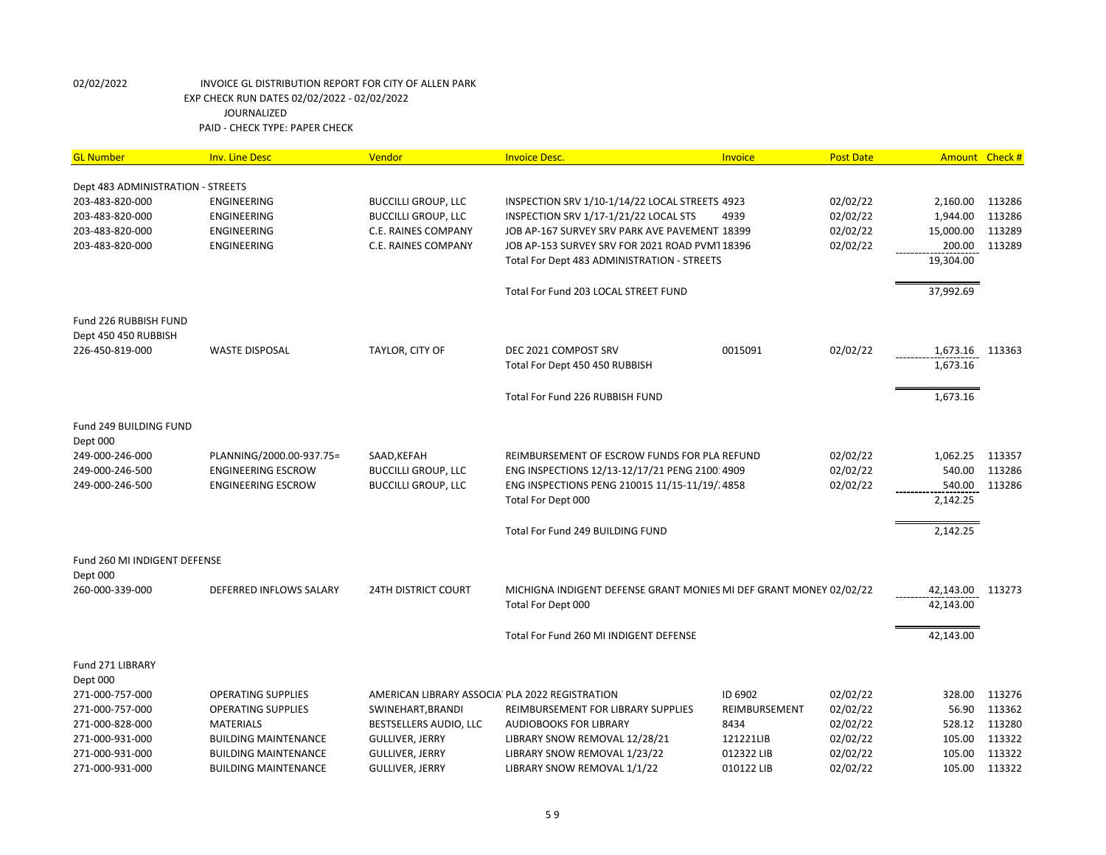| <b>GL Number</b>                              | <b>Inv. Line Desc</b>       | Vendor                                         | <b>Invoice Desc.</b>                                               | <b>Invoice</b> | <b>Post Date</b> |           | Amount Check # |
|-----------------------------------------------|-----------------------------|------------------------------------------------|--------------------------------------------------------------------|----------------|------------------|-----------|----------------|
|                                               |                             |                                                |                                                                    |                |                  |           |                |
| Dept 483 ADMINISTRATION - STREETS             |                             |                                                |                                                                    |                |                  |           |                |
| 203-483-820-000                               | <b>ENGINEERING</b>          | <b>BUCCILLI GROUP, LLC</b>                     | INSPECTION SRV 1/10-1/14/22 LOCAL STREETS 4923                     |                | 02/02/22         | 2,160.00  | 113286         |
| 203-483-820-000                               | <b>ENGINEERING</b>          | <b>BUCCILLI GROUP, LLC</b>                     | INSPECTION SRV 1/17-1/21/22 LOCAL STS                              | 4939           | 02/02/22         | 1,944.00  | 113286         |
| 203-483-820-000                               | <b>ENGINEERING</b>          | C.E. RAINES COMPANY                            | JOB AP-167 SURVEY SRV PARK AVE PAVEMENT 18399                      |                | 02/02/22         | 15,000.00 | 113289         |
| 203-483-820-000                               | ENGINEERING                 | C.E. RAINES COMPANY                            | JOB AP-153 SURVEY SRV FOR 2021 ROAD PVMT 18396                     |                | 02/02/22         | 200.00    | 113289         |
|                                               |                             |                                                | Total For Dept 483 ADMINISTRATION - STREETS                        |                |                  | 19,304.00 |                |
|                                               |                             |                                                | Total For Fund 203 LOCAL STREET FUND                               |                |                  | 37,992.69 |                |
| Fund 226 RUBBISH FUND<br>Dept 450 450 RUBBISH |                             |                                                |                                                                    |                |                  |           |                |
| 226-450-819-000                               | <b>WASTE DISPOSAL</b>       | TAYLOR, CITY OF                                | DEC 2021 COMPOST SRV                                               | 0015091        | 02/02/22         | 1,673.16  | 113363         |
|                                               |                             |                                                | Total For Dept 450 450 RUBBISH                                     |                |                  | 1,673.16  |                |
|                                               |                             |                                                | Total For Fund 226 RUBBISH FUND                                    |                |                  | 1,673.16  |                |
| Fund 249 BUILDING FUND<br>Dept 000            |                             |                                                |                                                                    |                |                  |           |                |
| 249-000-246-000                               | PLANNING/2000.00-937.75=    | SAAD, KEFAH                                    | REIMBURSEMENT OF ESCROW FUNDS FOR PLA REFUND                       |                | 02/02/22         | 1,062.25  | 113357         |
| 249-000-246-500                               | <b>ENGINEERING ESCROW</b>   | <b>BUCCILLI GROUP, LLC</b>                     | ENG INSPECTIONS 12/13-12/17/21 PENG 2100:4909                      |                | 02/02/22         | 540.00    | 113286         |
| 249-000-246-500                               | <b>ENGINEERING ESCROW</b>   | <b>BUCCILLI GROUP, LLC</b>                     | ENG INSPECTIONS PENG 210015 11/15-11/19/.4858                      |                | 02/02/22         | 540.00    | 113286         |
|                                               |                             |                                                | Total For Dept 000                                                 |                |                  | 2,142.25  |                |
|                                               |                             |                                                | Total For Fund 249 BUILDING FUND                                   |                |                  | 2,142.25  |                |
| Fund 260 MI INDIGENT DEFENSE                  |                             |                                                |                                                                    |                |                  |           |                |
| Dept 000                                      |                             |                                                |                                                                    |                |                  |           |                |
| 260-000-339-000                               | DEFERRED INFLOWS SALARY     | <b>24TH DISTRICT COURT</b>                     | MICHIGNA INDIGENT DEFENSE GRANT MONIES MI DEF GRANT MONEY 02/02/22 |                |                  | 42,143.00 | 113273         |
|                                               |                             |                                                | Total For Dept 000                                                 |                |                  | 42,143.00 |                |
|                                               |                             |                                                | Total For Fund 260 MI INDIGENT DEFENSE                             |                |                  | 42,143.00 |                |
| Fund 271 LIBRARY                              |                             |                                                |                                                                    |                |                  |           |                |
| Dept 000                                      |                             |                                                |                                                                    |                |                  |           |                |
| 271-000-757-000                               | <b>OPERATING SUPPLIES</b>   | AMERICAN LIBRARY ASSOCIA PLA 2022 REGISTRATION |                                                                    | ID 6902        | 02/02/22         | 328.00    | 113276         |
| 271-000-757-000                               | <b>OPERATING SUPPLIES</b>   | SWINEHART, BRANDI                              | REIMBURSEMENT FOR LIBRARY SUPPLIES                                 | REIMBURSEMENT  | 02/02/22         | 56.90     | 113362         |
| 271-000-828-000                               | <b>MATERIALS</b>            | BESTSELLERS AUDIO, LLC                         | <b>AUDIOBOOKS FOR LIBRARY</b>                                      | 8434           | 02/02/22         | 528.12    | 113280         |
| 271-000-931-000                               | <b>BUILDING MAINTENANCE</b> | <b>GULLIVER, JERRY</b>                         | LIBRARY SNOW REMOVAL 12/28/21                                      | 121221LIB      | 02/02/22         | 105.00    | 113322         |
| 271-000-931-000                               | <b>BUILDING MAINTENANCE</b> | <b>GULLIVER, JERRY</b>                         | LIBRARY SNOW REMOVAL 1/23/22                                       | 012322 LIB     | 02/02/22         | 105.00    | 113322         |
| 271-000-931-000                               | <b>BUILDING MAINTENANCE</b> | <b>GULLIVER, JERRY</b>                         | LIBRARY SNOW REMOVAL 1/1/22                                        | 010122 LIB     | 02/02/22         | 105.00    | 113322         |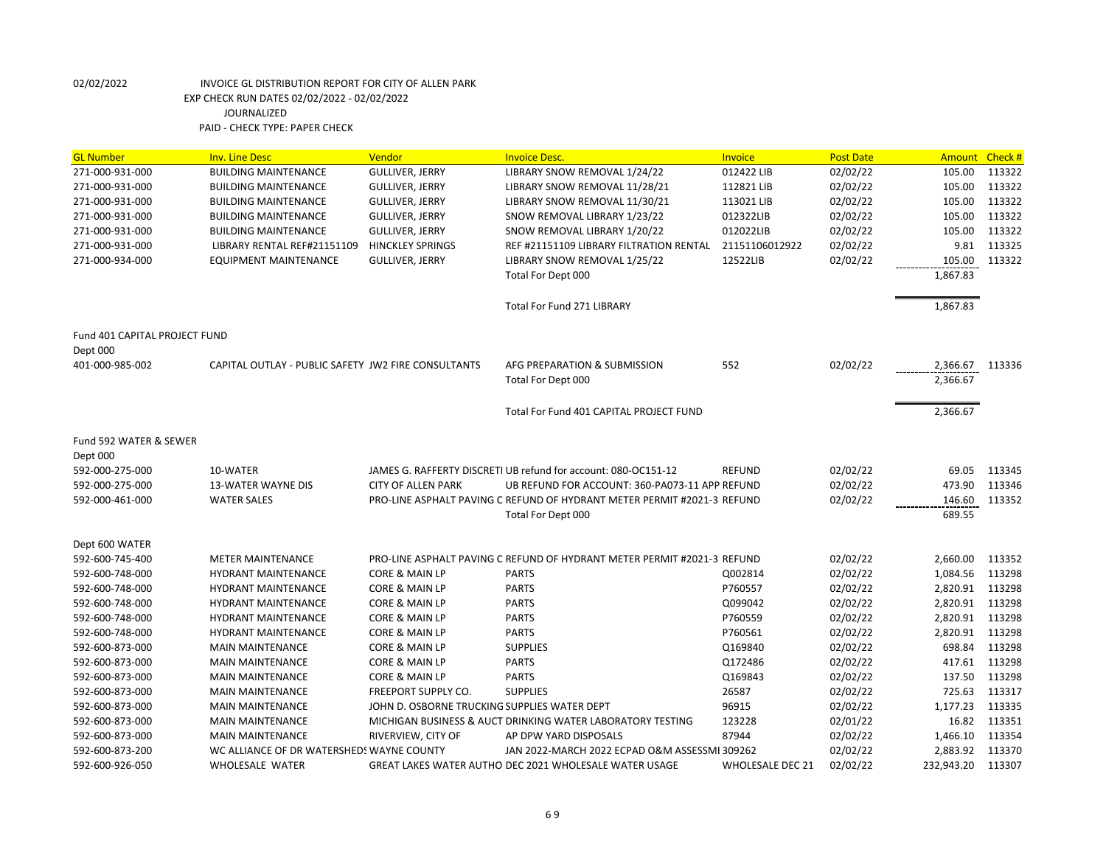| <b>GL Number</b>                   | <b>Inv. Line Desc</b>                               | Vendor                                       | <b>Invoice Desc.</b>                                                    | <b>Invoice</b>   | <b>Post Date</b> | <b>Amount</b> | Check # |
|------------------------------------|-----------------------------------------------------|----------------------------------------------|-------------------------------------------------------------------------|------------------|------------------|---------------|---------|
| 271-000-931-000                    | <b>BUILDING MAINTENANCE</b>                         | <b>GULLIVER, JERRY</b>                       | LIBRARY SNOW REMOVAL 1/24/22                                            | 012422 LIB       | 02/02/22         | 105.00        | 113322  |
| 271-000-931-000                    | <b>BUILDING MAINTENANCE</b>                         | <b>GULLIVER, JERRY</b>                       | LIBRARY SNOW REMOVAL 11/28/21                                           | 112821 LIB       | 02/02/22         | 105.00        | 113322  |
| 271-000-931-000                    | <b>BUILDING MAINTENANCE</b>                         | <b>GULLIVER, JERRY</b>                       | LIBRARY SNOW REMOVAL 11/30/21                                           | 113021 LIB       | 02/02/22         | 105.00        | 113322  |
| 271-000-931-000                    | <b>BUILDING MAINTENANCE</b>                         | <b>GULLIVER, JERRY</b>                       | SNOW REMOVAL LIBRARY 1/23/22                                            | 012322LIB        | 02/02/22         | 105.00        | 113322  |
| 271-000-931-000                    | <b>BUILDING MAINTENANCE</b>                         | <b>GULLIVER, JERRY</b>                       | SNOW REMOVAL LIBRARY 1/20/22                                            | 012022LIB        | 02/02/22         | 105.00        | 113322  |
| 271-000-931-000                    | LIBRARY RENTAL REF#21151109                         | <b>HINCKLEY SPRINGS</b>                      | REF #21151109 LIBRARY FILTRATION RENTAL                                 | 21151106012922   | 02/02/22         | 9.81          | 113325  |
| 271-000-934-000                    | <b>EQUIPMENT MAINTENANCE</b>                        | <b>GULLIVER, JERRY</b>                       | LIBRARY SNOW REMOVAL 1/25/22                                            | 12522LIB         | 02/02/22         | 105.00        | 113322  |
|                                    |                                                     |                                              | Total For Dept 000                                                      |                  |                  | 1,867.83      |         |
|                                    |                                                     |                                              | Total For Fund 271 LIBRARY                                              |                  |                  | 1,867.83      |         |
| Fund 401 CAPITAL PROJECT FUND      |                                                     |                                              |                                                                         |                  |                  |               |         |
| Dept 000<br>401-000-985-002        | CAPITAL OUTLAY - PUBLIC SAFETY JW2 FIRE CONSULTANTS |                                              | AFG PREPARATION & SUBMISSION                                            | 552              | 02/02/22         | 2,366.67      | 113336  |
|                                    |                                                     |                                              | Total For Dept 000                                                      |                  |                  | 2,366.67      |         |
|                                    |                                                     |                                              | Total For Fund 401 CAPITAL PROJECT FUND                                 |                  |                  | 2,366.67      |         |
| Fund 592 WATER & SEWER<br>Dept 000 |                                                     |                                              |                                                                         |                  |                  |               |         |
| 592-000-275-000                    | 10-WATER                                            |                                              | JAMES G. RAFFERTY DISCRETI UB refund for account: 080-OC151-12          | <b>REFUND</b>    | 02/02/22         | 69.05         | 113345  |
| 592-000-275-000                    | <b>13-WATER WAYNE DIS</b>                           | <b>CITY OF ALLEN PARK</b>                    | UB REFUND FOR ACCOUNT: 360-PA073-11 APP REFUND                          |                  | 02/02/22         | 473.90        | 113346  |
| 592-000-461-000                    | <b>WATER SALES</b>                                  |                                              | PRO-LINE ASPHALT PAVING C REFUND OF HYDRANT METER PERMIT #2021-3 REFUND |                  | 02/02/22         | 146.60        | 113352  |
|                                    |                                                     |                                              | Total For Dept 000                                                      |                  |                  | 689.55        |         |
| Dept 600 WATER                     |                                                     |                                              |                                                                         |                  |                  |               |         |
| 592-600-745-400                    | <b>METER MAINTENANCE</b>                            |                                              | PRO-LINE ASPHALT PAVING C REFUND OF HYDRANT METER PERMIT #2021-3 REFUND |                  | 02/02/22         | 2,660.00      | 113352  |
| 592-600-748-000                    | <b>HYDRANT MAINTENANCE</b>                          | CORE & MAIN LP                               | <b>PARTS</b>                                                            | Q002814          | 02/02/22         | 1,084.56      | 113298  |
| 592-600-748-000                    | <b>HYDRANT MAINTENANCE</b>                          | CORE & MAIN LP                               | <b>PARTS</b>                                                            | P760557          | 02/02/22         | 2,820.91      | 113298  |
| 592-600-748-000                    | <b>HYDRANT MAINTENANCE</b>                          | CORE & MAIN LP                               | <b>PARTS</b>                                                            | Q099042          | 02/02/22         | 2,820.91      | 113298  |
| 592-600-748-000                    | <b>HYDRANT MAINTENANCE</b>                          | <b>CORE &amp; MAIN LP</b>                    | <b>PARTS</b>                                                            | P760559          | 02/02/22         | 2,820.91      | 113298  |
| 592-600-748-000                    | <b>HYDRANT MAINTENANCE</b>                          | CORE & MAIN LP                               | <b>PARTS</b>                                                            | P760561          | 02/02/22         | 2,820.91      | 113298  |
| 592-600-873-000                    | <b>MAIN MAINTENANCE</b>                             | CORE & MAIN LP                               | <b>SUPPLIES</b>                                                         | Q169840          | 02/02/22         | 698.84        | 113298  |
| 592-600-873-000                    | <b>MAIN MAINTENANCE</b>                             | CORE & MAIN LP                               | <b>PARTS</b>                                                            | Q172486          | 02/02/22         | 417.61        | 113298  |
| 592-600-873-000                    | <b>MAIN MAINTENANCE</b>                             | <b>CORE &amp; MAIN LP</b>                    | <b>PARTS</b>                                                            | Q169843          | 02/02/22         | 137.50        | 113298  |
| 592-600-873-000                    | <b>MAIN MAINTENANCE</b>                             | FREEPORT SUPPLY CO.                          | <b>SUPPLIES</b>                                                         | 26587            | 02/02/22         | 725.63        | 113317  |
| 592-600-873-000                    | <b>MAIN MAINTENANCE</b>                             | JOHN D. OSBORNE TRUCKING SUPPLIES WATER DEPT |                                                                         | 96915            | 02/02/22         | 1,177.23      | 113335  |
| 592-600-873-000                    | <b>MAIN MAINTENANCE</b>                             |                                              | MICHIGAN BUSINESS & AUCT DRINKING WATER LABORATORY TESTING              | 123228           | 02/01/22         | 16.82         | 113351  |
| 592-600-873-000                    | <b>MAIN MAINTENANCE</b>                             | RIVERVIEW, CITY OF                           | AP DPW YARD DISPOSALS                                                   | 87944            | 02/02/22         | 1,466.10      | 113354  |
| 592-600-873-200                    | WC ALLIANCE OF DR WATERSHEDS WAYNE COUNTY           |                                              | JAN 2022-MARCH 2022 ECPAD O&M ASSESSMI 309262                           |                  | 02/02/22         | 2,883.92      | 113370  |
| 592-600-926-050                    | <b>WHOLESALE WATER</b>                              |                                              | GREAT LAKES WATER AUTHO DEC 2021 WHOLESALE WATER USAGE                  | WHOLESALE DEC 21 | 02/02/22         | 232,943.20    | 113307  |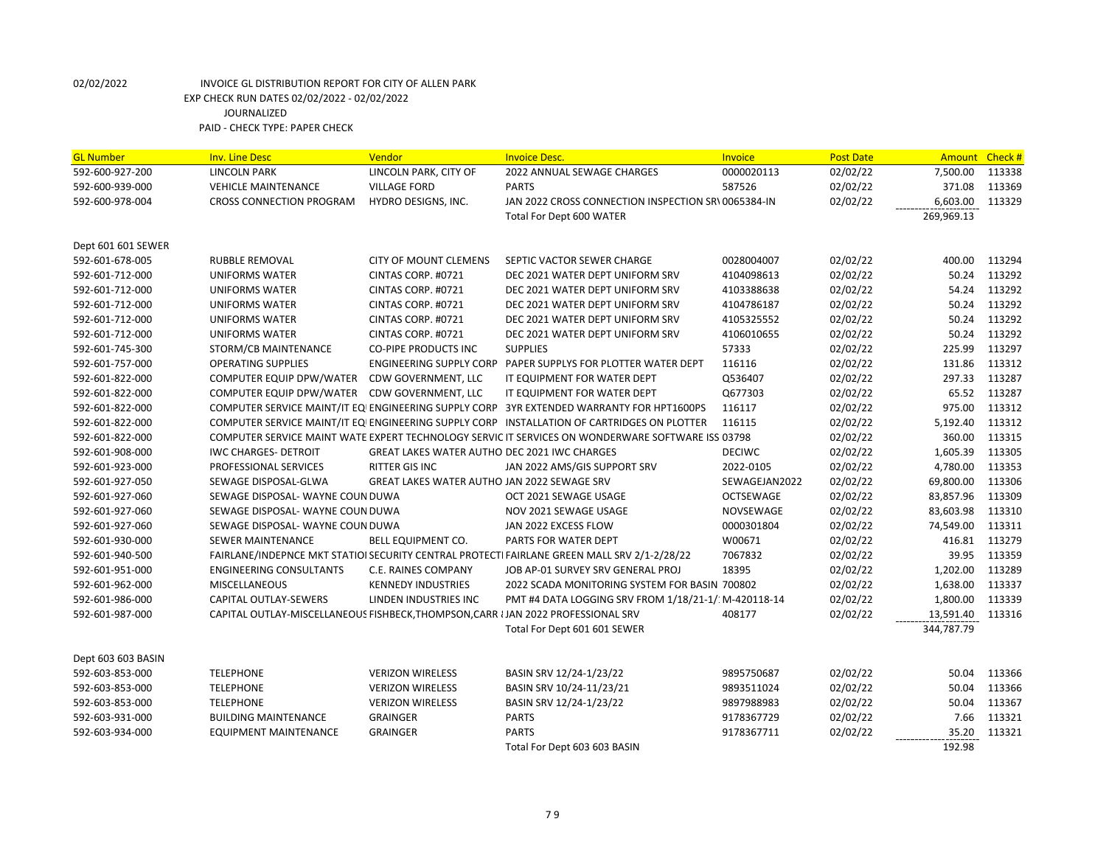| <b>GL Number</b>   | <b>Inv. Line Desc</b>                                                             | Vendor                                              | <b>Invoice Desc.</b>                                                                              | <b>Invoice</b> | <b>Post Date</b> | Amount           | Check#           |
|--------------------|-----------------------------------------------------------------------------------|-----------------------------------------------------|---------------------------------------------------------------------------------------------------|----------------|------------------|------------------|------------------|
| 592-600-927-200    | <b>LINCOLN PARK</b>                                                               | LINCOLN PARK, CITY OF                               | 2022 ANNUAL SEWAGE CHARGES                                                                        | 0000020113     | 02/02/22         | 7,500.00         | 113338           |
| 592-600-939-000    | <b>VEHICLE MAINTENANCE</b>                                                        | <b>VILLAGE FORD</b>                                 | <b>PARTS</b>                                                                                      | 587526         | 02/02/22         | 371.08           | 113369           |
| 592-600-978-004    | <b>CROSS CONNECTION PROGRAM</b>                                                   | HYDRO DESIGNS, INC.                                 | JAN 2022 CROSS CONNECTION INSPECTION SR\ 0065384-IN                                               |                | 02/02/22         | 6.603.00         | 113329           |
|                    |                                                                                   |                                                     | <b>Total For Dept 600 WATER</b>                                                                   |                |                  | 269,969.13       |                  |
|                    |                                                                                   |                                                     |                                                                                                   |                |                  |                  |                  |
| Dept 601 601 SEWER |                                                                                   |                                                     |                                                                                                   |                |                  |                  |                  |
| 592-601-678-005    | <b>RUBBLE REMOVAL</b>                                                             | <b>CITY OF MOUNT CLEMENS</b>                        | SEPTIC VACTOR SEWER CHARGE                                                                        | 0028004007     | 02/02/22         | 400.00           | 113294           |
| 592-601-712-000    | <b>UNIFORMS WATER</b>                                                             | CINTAS CORP. #0721                                  | DEC 2021 WATER DEPT UNIFORM SRV                                                                   | 4104098613     | 02/02/22         | 50.24            | 113292           |
| 592-601-712-000    | <b>UNIFORMS WATER</b>                                                             | CINTAS CORP. #0721                                  | DEC 2021 WATER DEPT UNIFORM SRV                                                                   | 4103388638     | 02/02/22         | 54.24            | 113292           |
| 592-601-712-000    | <b>UNIFORMS WATER</b>                                                             | CINTAS CORP. #0721                                  | DEC 2021 WATER DEPT UNIFORM SRV                                                                   | 4104786187     | 02/02/22         | 50.24            | 113292           |
| 592-601-712-000    | UNIFORMS WATER                                                                    | CINTAS CORP. #0721                                  | DEC 2021 WATER DEPT UNIFORM SRV                                                                   | 4105325552     | 02/02/22         | 50.24            | 113292           |
| 592-601-712-000    | <b>UNIFORMS WATER</b>                                                             | CINTAS CORP. #0721                                  | DEC 2021 WATER DEPT UNIFORM SRV                                                                   | 4106010655     | 02/02/22         | 50.24            | 113292           |
| 592-601-745-300    | STORM/CB MAINTENANCE                                                              | <b>CO-PIPE PRODUCTS INC</b>                         | <b>SUPPLIES</b>                                                                                   | 57333          | 02/02/22         | 225.99           | 113297           |
| 592-601-757-000    | <b>OPERATING SUPPLIES</b>                                                         |                                                     | ENGINEERING SUPPLY CORP PAPER SUPPLYS FOR PLOTTER WATER DEPT                                      | 116116         | 02/02/22         | 131.86           | 113312           |
| 592-601-822-000    | COMPUTER EQUIP DPW/WATER                                                          | CDW GOVERNMENT, LLC                                 | IT EQUIPMENT FOR WATER DEPT                                                                       | Q536407        | 02/02/22         | 297.33           | 113287           |
| 592-601-822-000    | COMPUTER EQUIP DPW/WATER                                                          | CDW GOVERNMENT, LLC                                 | IT EQUIPMENT FOR WATER DEPT                                                                       | Q677303        | 02/02/22         | 65.52            | 113287           |
| 592-601-822-000    |                                                                                   |                                                     | COMPUTER SERVICE MAINT/IT EQIENGINEERING SUPPLY CORP 3YR EXTENDED WARRANTY FOR HPT1600PS          | 116117         | 02/02/22         | 975.00           | 113312           |
| 592-601-822-000    |                                                                                   |                                                     | COMPUTER SERVICE MAINT/IT EQIENGINEERING SUPPLY CORP INSTALLATION OF CARTRIDGES ON PLOTTER        | 116115         | 02/02/22         | 5,192.40         | 113312           |
| 592-601-822-000    |                                                                                   |                                                     | COMPUTER SERVICE MAINT WATE EXPERT TECHNOLOGY SERVIC IT SERVICES ON WONDERWARE SOFTWARE ISS 03798 |                | 02/02/22         | 360.00           | 113315           |
| 592-601-908-000    | <b>IWC CHARGES- DETROIT</b>                                                       | <b>GREAT LAKES WATER AUTHO DEC 2021 IWC CHARGES</b> |                                                                                                   | <b>DECIWC</b>  | 02/02/22         | 1,605.39         | 113305           |
| 592-601-923-000    | PROFESSIONAL SERVICES                                                             | RITTER GIS INC                                      | JAN 2022 AMS/GIS SUPPORT SRV                                                                      | 2022-0105      | 02/02/22         | 4,780.00         | 113353           |
| 592-601-927-050    | SEWAGE DISPOSAL-GLWA                                                              | GREAT LAKES WATER AUTHO JAN 2022 SEWAGE SRV         |                                                                                                   | SEWAGEJAN2022  | 02/02/22         | 69,800.00        | 113306           |
| 592-601-927-060    | SEWAGE DISPOSAL- WAYNE COUN DUWA                                                  |                                                     | OCT 2021 SEWAGE USAGE                                                                             | OCTSEWAGE      | 02/02/22         | 83,857.96        | 113309           |
| 592-601-927-060    | SEWAGE DISPOSAL- WAYNE COUN DUWA                                                  |                                                     | NOV 2021 SEWAGE USAGE                                                                             | NOVSEWAGE      | 02/02/22         | 83,603.98        | 113310           |
| 592-601-927-060    | SEWAGE DISPOSAL- WAYNE COUN DUWA                                                  |                                                     | JAN 2022 EXCESS FLOW                                                                              | 0000301804     | 02/02/22         | 74,549.00        | 113311           |
| 592-601-930-000    | <b>SEWER MAINTENANCE</b>                                                          | BELL EQUIPMENT CO.                                  | PARTS FOR WATER DEPT                                                                              | W00671         | 02/02/22         | 416.81           | 113279           |
| 592-601-940-500    |                                                                                   |                                                     | FAIRLANE/INDEPNCE MKT STATIOI SECURITY CENTRAL PROTECTI FAIRLANE GREEN MALL SRV 2/1-2/28/22       | 7067832        | 02/02/22         | 39.95            | 113359           |
| 592-601-951-000    | <b>ENGINEERING CONSULTANTS</b>                                                    | C.E. RAINES COMPANY                                 | JOB AP-01 SURVEY SRV GENERAL PROJ                                                                 | 18395          | 02/02/22         | 1,202.00         | 113289           |
| 592-601-962-000    | <b>MISCELLANEOUS</b>                                                              | <b>KENNEDY INDUSTRIES</b>                           | 2022 SCADA MONITORING SYSTEM FOR BASIN 700802                                                     |                | 02/02/22         | 1,638.00         | 113337           |
| 592-601-986-000    | CAPITAL OUTLAY-SEWERS                                                             | LINDEN INDUSTRIES INC                               | PMT #4 DATA LOGGING SRV FROM 1/18/21-1/: M-420118-14                                              |                | 02/02/22         | 1,800.00         | 113339           |
| 592-601-987-000    | CAPITAL OUTLAY-MISCELLANEOUS FISHBECK, THOMPSON, CARR I JAN 2022 PROFESSIONAL SRV |                                                     |                                                                                                   | 408177         | 02/02/22         | 13,591.40 113316 |                  |
|                    |                                                                                   |                                                     | Total For Dept 601 601 SEWER                                                                      |                |                  | 344,787.79       |                  |
|                    |                                                                                   |                                                     |                                                                                                   |                |                  |                  |                  |
| Dept 603 603 BASIN | <b>TELEPHONE</b>                                                                  | <b>VERIZON WIRELESS</b>                             |                                                                                                   |                | 02/02/22         | 50.04            | 113366           |
| 592-603-853-000    |                                                                                   |                                                     | BASIN SRV 12/24-1/23/22                                                                           | 9895750687     |                  |                  |                  |
| 592-603-853-000    | <b>TELEPHONE</b>                                                                  | <b>VERIZON WIRELESS</b>                             | BASIN SRV 10/24-11/23/21                                                                          | 9893511024     | 02/02/22         | 50.04            | 113366<br>113367 |
| 592-603-853-000    | <b>TELEPHONE</b>                                                                  | <b>VERIZON WIRELESS</b>                             | BASIN SRV 12/24-1/23/22                                                                           | 9897988983     | 02/02/22         | 50.04            |                  |
| 592-603-931-000    | <b>BUILDING MAINTENANCE</b>                                                       | <b>GRAINGER</b>                                     | <b>PARTS</b>                                                                                      | 9178367729     | 02/02/22         | 7.66             | 113321           |
| 592-603-934-000    | <b>EQUIPMENT MAINTENANCE</b>                                                      | <b>GRAINGER</b>                                     | <b>PARTS</b>                                                                                      | 9178367711     | 02/02/22         | 35.20            | 113321           |
|                    |                                                                                   |                                                     | Total For Dept 603 603 BASIN                                                                      |                |                  | 192.98           |                  |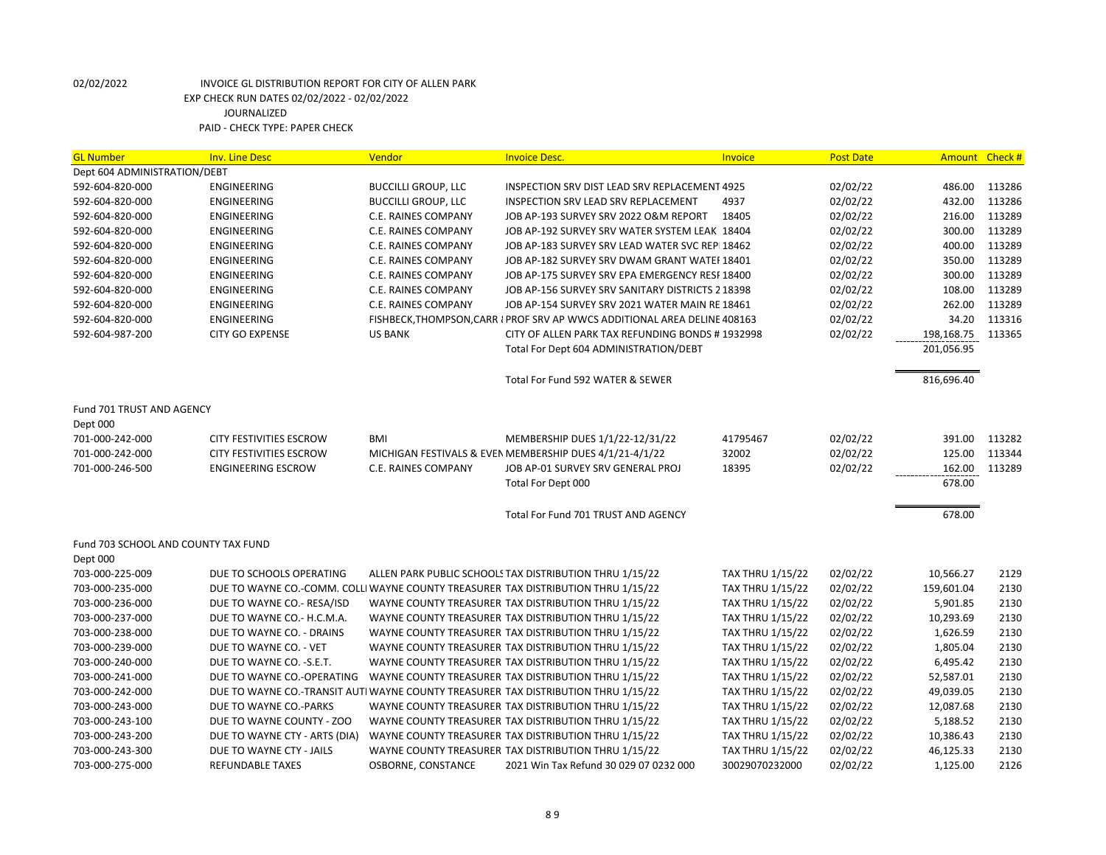| <b>GL Number</b>                    | <b>Inv. Line Desc</b>          | Vendor                     | <b>Invoice Desc.</b>                                                               | Invoice                 | <b>Post Date</b> | Amount Check # |        |
|-------------------------------------|--------------------------------|----------------------------|------------------------------------------------------------------------------------|-------------------------|------------------|----------------|--------|
| Dept 604 ADMINISTRATION/DEBT        |                                |                            |                                                                                    |                         |                  |                |        |
| 592-604-820-000                     | ENGINEERING                    | <b>BUCCILLI GROUP, LLC</b> | INSPECTION SRV DIST LEAD SRV REPLACEMENT 4925                                      |                         | 02/02/22         | 486.00         | 113286 |
| 592-604-820-000                     | <b>ENGINEERING</b>             | <b>BUCCILLI GROUP, LLC</b> | INSPECTION SRV LEAD SRV REPLACEMENT                                                | 4937                    | 02/02/22         | 432.00         | 113286 |
| 592-604-820-000                     | ENGINEERING                    | C.E. RAINES COMPANY        | JOB AP-193 SURVEY SRV 2022 O&M REPORT                                              | 18405                   | 02/02/22         | 216.00         | 113289 |
| 592-604-820-000                     | <b>ENGINEERING</b>             | C.E. RAINES COMPANY        | JOB AP-192 SURVEY SRV WATER SYSTEM LEAK 18404                                      |                         | 02/02/22         | 300.00         | 113289 |
| 592-604-820-000                     | <b>ENGINEERING</b>             | C.E. RAINES COMPANY        | JOB AP-183 SURVEY SRV LEAD WATER SVC REPI18462                                     |                         | 02/02/22         | 400.00         | 113289 |
| 592-604-820-000                     | ENGINEERING                    | C.E. RAINES COMPANY        | JOB AP-182 SURVEY SRV DWAM GRANT WATEF 18401                                       |                         | 02/02/22         | 350.00         | 113289 |
| 592-604-820-000                     | ENGINEERING                    | C.E. RAINES COMPANY        | JOB AP-175 SURVEY SRV EPA EMERGENCY RESF 18400                                     |                         | 02/02/22         | 300.00         | 113289 |
| 592-604-820-000                     | ENGINEERING                    | C.E. RAINES COMPANY        | JOB AP-156 SURVEY SRV SANITARY DISTRICTS 2 18398                                   |                         | 02/02/22         | 108.00         | 113289 |
| 592-604-820-000                     | <b>ENGINEERING</b>             | <b>C.E. RAINES COMPANY</b> | JOB AP-154 SURVEY SRV 2021 WATER MAIN RE 18461                                     |                         | 02/02/22         | 262.00         | 113289 |
| 592-604-820-000                     | <b>ENGINEERING</b>             |                            | FISHBECK, THOMPSON, CARR I PROF SRV AP WWCS ADDITIONAL AREA DELINE 408163          |                         | 02/02/22         | 34.20          | 113316 |
| 592-604-987-200                     | <b>CITY GO EXPENSE</b>         | <b>US BANK</b>             | CITY OF ALLEN PARK TAX REFUNDING BONDS # 1932998                                   |                         | 02/02/22         | 198,168.75     | 113365 |
|                                     |                                |                            | Total For Dept 604 ADMINISTRATION/DEBT                                             |                         |                  | 201,056.95     |        |
|                                     |                                |                            | Total For Fund 592 WATER & SEWER                                                   |                         |                  | 816,696.40     |        |
| Fund 701 TRUST AND AGENCY           |                                |                            |                                                                                    |                         |                  |                |        |
| Dept 000                            |                                |                            |                                                                                    |                         |                  |                |        |
| 701-000-242-000                     | <b>CITY FESTIVITIES ESCROW</b> | <b>BMI</b>                 | MEMBERSHIP DUES 1/1/22-12/31/22                                                    | 41795467                | 02/02/22         | 391.00         | 113282 |
| 701-000-242-000                     | CITY FESTIVITIES ESCROW        |                            | MICHIGAN FESTIVALS & EVEN MEMBERSHIP DUES 4/1/21-4/1/22                            | 32002                   | 02/02/22         | 125.00         | 113344 |
| 701-000-246-500                     | <b>ENGINEERING ESCROW</b>      | C.E. RAINES COMPANY        | JOB AP-01 SURVEY SRV GENERAL PROJ                                                  | 18395                   | 02/02/22         | 162.00         | 113289 |
|                                     |                                |                            | Total For Dept 000                                                                 |                         |                  | 678.00         |        |
|                                     |                                |                            | Total For Fund 701 TRUST AND AGENCY                                                |                         |                  | 678.00         |        |
| Fund 703 SCHOOL AND COUNTY TAX FUND |                                |                            |                                                                                    |                         |                  |                |        |
| Dept 000                            |                                |                            |                                                                                    |                         |                  |                |        |
| 703-000-225-009                     | DUE TO SCHOOLS OPERATING       |                            | ALLEN PARK PUBLIC SCHOOLS TAX DISTRIBUTION THRU 1/15/22                            | <b>TAX THRU 1/15/22</b> | 02/02/22         | 10,566.27      | 2129   |
| 703-000-235-000                     |                                |                            | DUE TO WAYNE CO.-COMM. COLLI WAYNE COUNTY TREASURER TAX DISTRIBUTION THRU 1/15/22  | <b>TAX THRU 1/15/22</b> | 02/02/22         | 159,601.04     | 2130   |
| 703-000-236-000                     | DUE TO WAYNE CO.- RESA/ISD     |                            | WAYNE COUNTY TREASURER TAX DISTRIBUTION THRU 1/15/22                               | <b>TAX THRU 1/15/22</b> | 02/02/22         | 5,901.85       | 2130   |
| 703-000-237-000                     | DUE TO WAYNE CO.- H.C.M.A.     |                            | WAYNE COUNTY TREASURER TAX DISTRIBUTION THRU 1/15/22                               | <b>TAX THRU 1/15/22</b> | 02/02/22         | 10,293.69      | 2130   |
| 703-000-238-000                     | DUE TO WAYNE CO. - DRAINS      |                            | WAYNE COUNTY TREASURER TAX DISTRIBUTION THRU 1/15/22                               | <b>TAX THRU 1/15/22</b> | 02/02/22         | 1,626.59       | 2130   |
| 703-000-239-000                     | DUE TO WAYNE CO. - VET         |                            | WAYNE COUNTY TREASURER TAX DISTRIBUTION THRU 1/15/22                               | <b>TAX THRU 1/15/22</b> | 02/02/22         | 1,805.04       | 2130   |
| 703-000-240-000                     | DUE TO WAYNE CO. - S.E.T.      |                            | WAYNE COUNTY TREASURER TAX DISTRIBUTION THRU 1/15/22                               | <b>TAX THRU 1/15/22</b> | 02/02/22         | 6,495.42       | 2130   |
| 703-000-241-000                     | DUE TO WAYNE CO.-OPERATING     |                            | WAYNE COUNTY TREASURER TAX DISTRIBUTION THRU 1/15/22                               | <b>TAX THRU 1/15/22</b> | 02/02/22         | 52,587.01      | 2130   |
| 703-000-242-000                     |                                |                            | DUE TO WAYNE CO.-TRANSIT AUTI WAYNE COUNTY TREASURER TAX DISTRIBUTION THRU 1/15/22 | <b>TAX THRU 1/15/22</b> | 02/02/22         | 49,039.05      | 2130   |
| 703-000-243-000                     | DUE TO WAYNE CO.-PARKS         |                            | WAYNE COUNTY TREASURER TAX DISTRIBUTION THRU 1/15/22                               | <b>TAX THRU 1/15/22</b> | 02/02/22         | 12,087.68      | 2130   |
| 703-000-243-100                     | DUE TO WAYNE COUNTY - ZOO      |                            | WAYNE COUNTY TREASURER TAX DISTRIBUTION THRU 1/15/22                               | <b>TAX THRU 1/15/22</b> | 02/02/22         | 5,188.52       | 2130   |
| 703-000-243-200                     | DUE TO WAYNE CTY - ARTS (DIA)  |                            | WAYNE COUNTY TREASURER TAX DISTRIBUTION THRU 1/15/22                               | <b>TAX THRU 1/15/22</b> | 02/02/22         | 10,386.43      | 2130   |
| 703-000-243-300                     | DUE TO WAYNE CTY - JAILS       |                            | WAYNE COUNTY TREASURER TAX DISTRIBUTION THRU 1/15/22                               | <b>TAX THRU 1/15/22</b> | 02/02/22         | 46,125.33      | 2130   |
| 703-000-275-000                     | <b>REFUNDABLE TAXES</b>        | OSBORNE, CONSTANCE         | 2021 Win Tax Refund 30 029 07 0232 000                                             | 30029070232000          | 02/02/22         | 1,125.00       | 2126   |